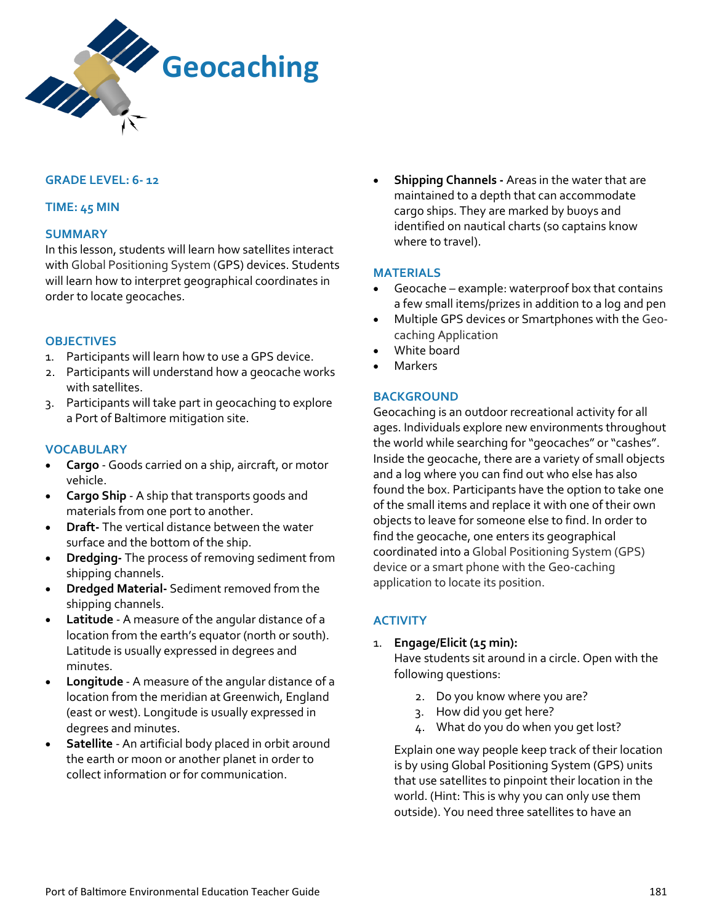

### **GRADE LEVEL: 6- 12**

#### **TIME: 45 MIN**

#### **SUMMARY**

In this lesson, students will learn how satellites interact with Global Positioning System (GPS) devices. Students will learn how to interpret geographical coordinates in order to locate geocaches.

#### **OBJECTIVES**

- 1. Participants will learn how to use a GPS device.
- 2. Participants will understand how a geocache works with satellites.
- 3. Participants will take part in geocaching to explore a Port of Baltimore mitigation site.

### **VOCABULARY**

- **Cargo**  Goods carried on a ship, aircraft, or motor vehicle.
- **Cargo Ship**  A ship that transports goods and materials from one port to another.
- **Draft-** The vertical distance between the water surface and the bottom of the ship.
- **Dredging-** The process of removing sediment from shipping channels.
- **Dredged Material-** Sediment removed from the shipping channels.
- **Latitude**  A measure of the angular distance of a location from the earth's equator (north or south). Latitude is usually expressed in degrees and minutes.
- **Longitude** A measure of the angular distance of a location from the meridian at Greenwich, England (east or west). Longitude is usually expressed in degrees and minutes.
- **Satellite**  An artificial body placed in orbit around the earth or moon or another planet in order to collect information or for communication.

• **Shipping Channels -** Areas in the water that are maintained to a depth that can accommodate cargo ships. They are marked by buoys and identified on nautical charts (so captains know where to travel).

#### **MATERIALS**

- Geocache example: waterproof box that contains a few small items/prizes in addition to a log and pen
- Multiple GPS devices or Smartphones with the Geocaching Application
- White board
- **Markers**

#### **BACKGROUND**

Geocaching is an outdoor recreational activity for all ages. Individuals explore new environments throughout the world while searching for "geocaches" or "cashes". Inside the geocache, there are a variety of small objects and a log where you can find out who else has also found the box. Participants have the option to take one of the small items and replace it with one of their own objects to leave for someone else to find. In order to find the geocache, one enters its geographical coordinated into a Global Positioning System (GPS) device or a smart phone with the Geo-caching application to locate its position.

## **ACTIVITY**

1. **Engage/Elicit (15 min):** 

Have students sit around in a circle. Open with the following questions:

- 2. Do you know where you are?
- 3. How did you get here?
- 4. What do you do when you get lost?

Explain one way people keep track of their location is by using Global Positioning System (GPS) units that use satellites to pinpoint their location in the world. (Hint: This is why you can only use them outside). You need three satellites to have an